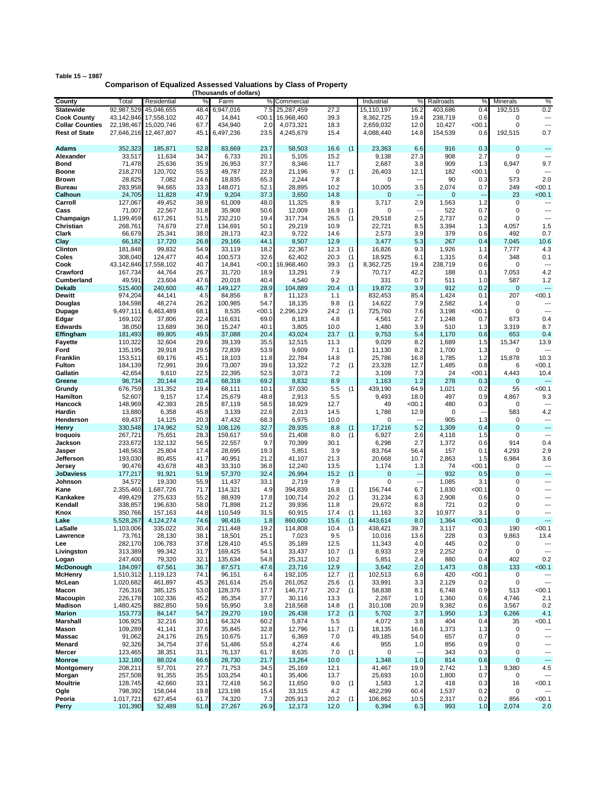| Table 15 -- 1987 |                                                                         |
|------------------|-------------------------------------------------------------------------|
|                  | <b>Comparison of Equalized Assessed Valuations by Class of Property</b> |
|                  | (Thousands of dollars)                                                  |

|                        |            |                       |      | (Thousands of dollars) |        |            |      |     |                |                          |             |                |                |                          |
|------------------------|------------|-----------------------|------|------------------------|--------|------------|------|-----|----------------|--------------------------|-------------|----------------|----------------|--------------------------|
| County                 | Total      | Residential           | %    | Farm                   | %      | Commercial |      |     | Industrial     | %                        | Railroads   | %              | Minerals       | %                        |
| <b>Statewide</b>       | 92,987,529 | 45,046,655            | 48.4 | 6,947,016              | 7.5    | 25,287,459 | 27.2 |     | 15,110,197     | 16.2                     | 403,686     | 0.4            | 192,515        | 0.2                      |
| <b>Cook County</b>     |            | 43,142,846 17,558,102 | 40.7 | 14,841                 | < 00.1 | 16,968,460 | 39.3 |     | 8,362,725      | 19.4                     | 238,719     | 0.6            | 0              | ---                      |
| <b>Collar Counties</b> | 22,198,467 | 15,020,746            | 67.7 | 434,940                | 2.0    | 4,073,321  | 18.3 |     | 2,659,032      | 12.0                     | 10,427      | < 00.1         | $\mathbf 0$    | ---                      |
| <b>Rest of State</b>   | 27,646,216 | 12,467,807            | 45.1 | 6,497,236              | 23.5   | 4,245,679  | 15.4 |     | 4,088,440      | 14.8                     | 154,539     | 0.6            | 192,515        | 0.7                      |
|                        |            |                       |      |                        |        |            |      |     |                |                          |             |                |                |                          |
| <b>Adams</b>           | 352,323    | 185,871               | 52.8 | 83,669                 | 23.7   | 58,503     | 16.6 | (1) | 23,363         | 6.6                      | 916         | 0.3            | $\mathbf 0$    | ---                      |
| Alexander              | 33,517     | 11,634                | 34.7 | 6,733                  | 20.1   | 5,105      | 15.2 |     | 9,138          | 27.3                     | 908         | 2.7            | $\mathbf 0$    |                          |
| Bond                   | 71,478     | 25,636                | 35.9 | 26,953                 | 37.7   | 8,346      | 11.7 |     | 2,687          | 3.8                      | 909         | 1.3            | 6,947          | 9.7                      |
| Boone                  | 218,270    | 120,702               | 55.3 | 49,787                 | 22.8   | 21,196     | 9.7  | (1) | 26,403         | 12.1                     | 182         | < 00.1         | $\mathbf 0$    |                          |
| <b>Brown</b>           | 28,825     | 7,082                 | 24.6 | 18,835                 | 65.3   | 2,244      | 7.8  |     | 0              |                          | 90          | 0.3            | 573            | 2.0                      |
|                        |            | 94,665                |      |                        | 52.1   |            | 10.2 |     | 10,005         |                          | 2,074       |                | 249            | $<$ 00.1                 |
| <b>Bureau</b>          | 283,958    |                       | 33.3 | 148,071                |        | 28,895     |      |     |                | 3.5                      |             | 0.7            |                |                          |
| Calhoun                | 24,705     | 11,828                | 47.9 | 9,204                  | 37.3   | 3,650      | 14.8 |     | 0              | Ξ.                       | $\mathbf 0$ | $\overline{a}$ | 23             | $00.1$                   |
| Carroll                | 127,067    | 49,452                | 38.9 | 61,009                 | 48.0   | 11,325     | 8.9  |     | 3,717          | 2.9                      | 1,563       | 1.2            | $\mathbf 0$    | ---                      |
| Cass                   | 71,007     | 22,567                | 31.8 | 35,908                 | 50.6   | 12,009     | 16.9 | (1) | 0              | ٠.                       | 522         | 0.7            | $\mathbf 0$    | ---                      |
| Champaign              | 1,199,459  | 617,261               | 51.5 | 232,210                | 19.4   | 317,734    | 26.5 | (1) | 29,518         | 2.5                      | 2,737       | 0.2            | $\mathbf 0$    |                          |
| Christian              | 268,761    | 74,679                | 27.8 | 134,691                | 50.1   | 29,219     | 10.9 |     | 22,721         | 8.5                      | 3,394       | 1.3            | 4,057          | 1.5                      |
| Clark                  | 66,679     | 25,341                | 38.0 | 28,173                 | 42.3   | 9,722      | 14.6 |     | 2,573          | 3.9                      | 379         | 0.6            | 492            | 0.7                      |
| Clay                   | 66,182     | 17,720                | 26.8 | 29,166                 | 44.1   | 8,507      | 12.9 |     | 3,477          | 5.3                      | 267         | 0.4            | 7,045          | 10.6                     |
| Clinton                | 181,848    | 99,832                | 54.9 | 33,119                 | 18.2   | 22,367     | 12.3 | (1) | 16,826         | 9.3                      | 1,926       | 1.1            | 7,777          | 4.3                      |
| Coles                  | 308,040    | 124,477               | 40.4 | 100,573                | 32.6   | 62,402     | 20.3 | (1) | 18,925         | 6.1                      | 1,315       | 0.4            | 348            | 0.1                      |
| Cook                   | 43,142,846 | 17,558,102            | 40.7 | 14,841                 | < 00.1 | 16,968,460 | 39.3 | (1) | 8,362,725      | 19.4                     | 238,719     | 0.6            | 0              | ---                      |
| Crawford               | 167,734    | 44,764                | 26.7 | 31,720                 | 18.9   | 13,291     | 7.9  |     | 70,717         | 42.2                     | 188         | 0.1            | 7,053          | 4.2                      |
| Cumberland             | 49,591     | 23,604                | 47.6 | 20,018                 | 40.4   | 4,540      | 9.2  |     | 331            | 0.7                      | 511         | 1.0            | 587            | 1.2                      |
| <b>Dekalb</b>          | 515,400    | 240,600               | 46.7 | 149,127                | 28.9   | 104,889    | 20.4 | (1) | 19,872         | 3.9                      | 912         | 0.2            | $\overline{0}$ | ---                      |
| Dewitt                 | 974,204    | 44,141                | 4.5  | 84.856                 | 8.7    | 11,123     | 1.1  |     | 832,453        |                          | 1,424       | 0.1            | 207            | $00.1$                   |
| Douglas                | 184,598    | 48,274                | 26.2 | 100,985                | 54.7   | 18,135     | 9.8  | (1) | 14,622         | 85.4<br>7.9              | 2,582       | 1.4            | 0              |                          |
|                        |            | 6,463,489             |      |                        |        |            |      |     |                |                          |             |                |                | ---                      |
| Dupage                 | 9,497,111  |                       | 68.1 | 8,535                  | < 00.1 | 2,296,129  | 24.2 | (1) | 725,760        | 7.6                      | 3,198       | <00.1          | 0              |                          |
| Edgar                  | 169,102    | 37,806                | 22.4 | 116,631                | 69.0   | 8,183      | 4.8  |     | 4,561          | 2.7                      | 1,248       | 0.7            | 673            | 0.4                      |
| Edwards                | 38,050     | 13,689                | 36.0 | 15,247                 | 40.1   | 3,805      | 10.0 |     | 1,480          | 3.9                      | 510         | 1.3            | 3,319          | 8.7                      |
| Effingham              | 181,493    | 89,805                | 49.5 | 37,088                 | 20.4   | 43,024     | 23.7 | (1) | 9,753          | 5.4                      | 1,170       | 0.6            | 653            | 0.4                      |
| Fayette                | 110,322    | 32,604                | 29.6 | 39,139                 | 35.5   | 12,515     | 11.3 |     | 9,029          | 8.2                      | 1,689       | 1.5            | 15,347         | 13.9                     |
| Ford                   | 135,195    | 39,918                | 29.5 | 72,839                 | 53.9   | 9,609      | 7.1  | (1) | 11,130         | 8.2                      | 1,700       | 1.3            | 0              |                          |
| Franklin               | 153,511    | 69,176                | 45.1 | 18,103                 | 11.8   | 22,784     | 14.8 |     | 25,786         | 16.8                     | 1,785       | 1.2            | 15,878         | 10.3                     |
| Fulton                 | 184,139    | 72,991                | 39.6 | 73,007                 | 39.6   | 13,322     | 7.2  | (1) | 23,328         | 12.7                     | 1,485       | 0.8            | 6              | $<$ 00.1                 |
| Gallatin               | 42,654     | 9,610                 | 22.5 | 22,395                 | 52.5   | 3,073      | 7.2  |     | 3,109          | 7.3                      | 24          | < 00.1         | 4,443          | 10.4                     |
| Greene                 | 98,734     | 20,144                | 20.4 | 68,318                 | 69.2   | 8,832      | 8.9  |     | 1,163          | 1.2                      | 278         | 0.3            | $\mathbf 0$    | ---                      |
| Grundy                 | 676,759    | 131,352               | 19.4 | 68,111                 | 10.1   | 37,030     | 5.5  | (1) | 439,190        | 64.9                     | 1,021       | 0.2            | 55             | $00.1$                   |
| Hamilton               | 52,607     | 9,157                 | 17.4 | 25,679                 | 48.8   | 2,913      | 5.5  |     | 9,493          | 18.0                     | 497         | 0.9            | 4,867          | 9.3                      |
| Hancock                | 148,969    | 42,393                | 28.5 | 87,119                 | 58.5   | 18,929     | 12.7 |     | 49             | $<$ 00.1                 | 480         | 0.3            | $\mathbf 0$    | $\overline{\phantom{a}}$ |
| Hardin                 | 13,880     | 6,358                 | 45.8 | 3,139                  | 22.6   | 2,013      | 14.5 |     | 1,788          | 12.9                     | 0           | --             | 583            | 4.2                      |
| Henderson              | 69,437     | 14,125                | 20.3 | 47,432                 | 68.3   | 6,975      | 10.0 |     | 0              |                          | 905         | 1.3            | $\mathbf 0$    | ---                      |
| <b>Henry</b>           | 330,548    | 174,962               | 52.9 | 108,126                | 32.7   | 28,935     | 8.8  | (1) | 17,216         | 5.2                      | 1,309       | 0.4            | $\mathbf{0}$   | ---                      |
| <b>Iroquois</b>        | 267,721    | 75,651                | 28.3 | 159,617                | 59.6   | 21,408     | 8.0  | (1) | 6,927          | 2.6                      | 4,118       | 1.5            | $\mathbf 0$    | ---                      |
| Jackson                | 233,672    | 132,132               | 56.5 | 22,557                 | 9.7    | 70,399     | 30.1 |     | 6,298          | 2.7                      | 1,372       | 0.6            | 914            | 0.4                      |
| Jasper                 | 148,563    | 25,804                | 17.4 | 28,695                 | 19.3   | 5,851      | 3.9  |     | 83,764         | 56.4                     | 157         | 0.1            | 4,293          | 2.9                      |
| Jefferson              | 193,030    | 80,455                | 41.7 | 40,951                 | 21.2   | 41,107     | 21.3 |     | 20,668         | 10.7                     | 2,863       | 1.5            | 6,984          | 3.6                      |
| Jersey                 | 90,476     | 43,678                | 48.3 | 33,310                 | 36.8   | 12,240     | 13.5 |     | 1,174          | 1.3                      | 74          | < 00.1         | $\mathbf 0$    | ---                      |
|                        |            |                       |      |                        |        |            |      |     | $\overline{0}$ |                          | 932         |                | $\mathbf{0}$   | $---$                    |
| <b>JoDaviess</b>       | 177,217    | 91,921                | 51.9 | 57,370                 | 32.4   | 26,994     | 15.2 | (1) |                | ---                      |             | 0.5            |                |                          |
| Johnson                | 34,572     | 19,330                | 55.9 | 11.437                 | 33.1   | 2,719      | 7.9  |     | 0              | $\overline{\phantom{a}}$ | 1,085       | 3.1            | 0              | ---                      |
| Kane                   | 2,355,460  | 1,687,726             | 71.7 | 114,321                | 4.9    | 394,839    | 16.8 | (1) | 156,744        | 6.7                      | 1,830       | < 00.1         | 0              | ---                      |
| Kankakee               | 499,429    | 275,633               | 55.2 | 88,939                 | 17.8   | 100.714    | 20.2 | (1) | 31,234         | 6.3                      | 2,908       | 0.6            | 0              | ---                      |
| Kendall                | 338,857    | 196,630               | 58.0 | 71,898                 | 21.2   | 39,936     | 11.8 |     | 29,672         | 8.8                      | 721         | 0.2            | 0              | ---                      |
| Knox                   | 350,766    | 157,163               | 44.8 | 110,549                | 31.5   | 60,915     | 17.4 | (1) | 11,163         | 3.2                      | 10,977      | 3.1            | $\mathbf 0$    | ---                      |
| Lake                   | 5,528,267  | 4,124,274             | 74.6 | 98,416                 | 1.8    | 860,600    | 15.6 | (1) | 443,614        | 8.0                      | 1,364       | < 00.1         | $\overline{0}$ | ---                      |
| LaSalle                | 1,103,006  | 335,022               | 30.4 | 211,448                | 19.2   | 114,808    | 10.4 | (1) | 438,421        | 39.7                     | 3,117       | 0.3            | 190            | $<$ 00.1                 |
| Lawrence               | 73,761     | 28,130                | 38.1 | 18,501                 | 25.1   | 7,023      | 9.5  |     | 10,016         | 13.6                     | 228         | 0.3            | 9,863          | 13.4                     |
| Lee                    | 282,170    | 106,783               | 37.8 | 128,410                | 45.5   | 35,189     | 12.5 |     | 11,343         | 4.0                      | 445         | 0.2            | 0              |                          |
| Livingston             | 313,389    | 99,342                | 31.7 | 169,425                | 54.1   | 33,437     | 10.7 | (1) | 8,933          | 2.9                      | 2,252       | 0.7            | 0              | ---                      |
| Logan                  | 247,400    | 79,320                | 32.1 | 135,634                | 54.8   | 25,312     | 10.2 |     | 5,851          | 2.4                      | 880         | 0.4            | 402            | 0.2                      |
| <b>McDonough</b>       | 184,097    | 67,561                | 36.7 | 87,571                 | 47.6   | 23,716     | 12.9 |     | 3,642          | 2.0                      | 1,473       | 0.8            | 133            | $00.1$                   |
| <b>McHenry</b>         | 1,510,312  | 1,119,123             | 74.1 | 96,151                 | 6.4    | 192,105    | 12.7 | (1) | 102,513        | 6.8                      | 420         | <00.1          | 0              | $\overline{\phantom{a}}$ |
| McLean                 | 1,020,682  | 461,897               | 45.3 | 261,614                | 25.6   | 261,052    | 25.6 | (1) | 33,991         | 3.3                      | 2,129       | 0.2            | 0              | ---                      |
| Macon                  | 726,316    | 385,125               | 53.0 | 128,376                | 17.7   | 146,717    | 20.2 | (1) | 58,838         | 8.1                      | 6,748       | 0.9            | 513            | < 00.1                   |
| Macoupin               | 226,178    | 102,336               | 45.2 | 85,354                 | 37.7   | 30,116     | 13.3 |     | 2,267          | 1.0                      | 1,360       | 0.6            | 4,746          | 2.1                      |
| Madison                | 1,480,425  | 882,850               | 59.6 | 55,950                 | 3.8    | 218,568    | 14.8 | (1) | 310,108        | 20.9                     | 9,382       | 0.6            | 3,567          | 0.2                      |
| <b>Marion</b>          | 153,773    | 84,147                | 54.7 | 29,270                 | 19.0   | 26,438     | 17.2 | (1) | 5,702          | 3.7                      | 1,950       | 1.3            | 6,266          | 4.1                      |
| Marshall               | 106,925    | 32,216                | 30.1 | 64,324                 | 60.2   | 5,874      | 5.5  |     | 4,072          | 3.8                      | 404         | 0.4            | 35             | 00.1                     |
| Mason                  | 109,289    | 41,141                | 37.6 | 35,845                 | 32.8   | 12,796     | 11.7 | (1) | 18,135         | 16.6                     | 1,373       | 1.3            | 0              | $\overline{\phantom{a}}$ |
|                        |            |                       |      |                        |        |            |      |     |                |                          |             |                |                |                          |
| Massac                 | 91,062     | 24,176                | 26.5 | 10,675                 | 11.7   | 6,369      | 7.0  |     | 49,185         | 54.0                     | 657         | 0.7            | 0              | ---                      |
| Menard                 | 92,326     | 34,754                | 37.6 | 51,486                 | 55.8   | 4,274      | 4.6  |     | 955            | 1.0                      | 856         | 0.9            | 0              | ---                      |
| Mercer                 | 123,465    | 38,351                | 31.1 | 76,137                 | 61.7   | 8,635      | 7.0  | (1) | 0              | $\overline{\phantom{a}}$ | 343         | 0.3            | 0              | ---                      |
| <b>Monroe</b>          | 132,180    | 88,024                | 66.6 | 28,730                 | 21.7   | 13,264     | 10.0 |     | 1,348          | 1.0                      | 814         | 0.6            | $\mathbf 0$    | ---                      |
| <b>Montgomery</b>      | 208,211    | 57,701                | 27.7 | 71,753                 | 34.5   | 25,169     | 12.1 |     | 41,467         | 19.9                     | 2,742       | 1.3            | 9,380          | 4.5                      |
| Morgan                 | 257,508    | 91,355                | 35.5 | 103,254                | 40.1   | 35,406     | 13.7 |     | 25,693         | 10.0                     | 1,800       | 0.7            | 0              | ---                      |
| <b>Moultrie</b>        | 128,745    | 42,660                | 33.1 | 72,418                 | 56.2   | 11,650     | 9.0  | (1) | 1,583          | 1.2                      | 418         | 0.3            | 16             | 00.1                     |
| Ogle                   | 798,392    | 158,044               | 19.8 | 123,198                | 15.4   | 33,315     | 4.2  |     | 482,299        | 60.4                     | 1,537       | 0.2            | 0              |                          |
| Peoria                 | 1,017,721  | 627,454               | 61.7 | 74,320                 | 7.3    | 205,913    | 20.2 | (1) | 106,862        | 10.5                     | 2,317       | 0.2            | 856            | 00.1                     |
| Perry                  | 101,390    | 52,489                | 51.8 | 27,267                 | 26.9   | 12,173     | 12.0 |     | 6,394          | 6.3                      | 993         | 1.0            | 2,074          | 2.0                      |